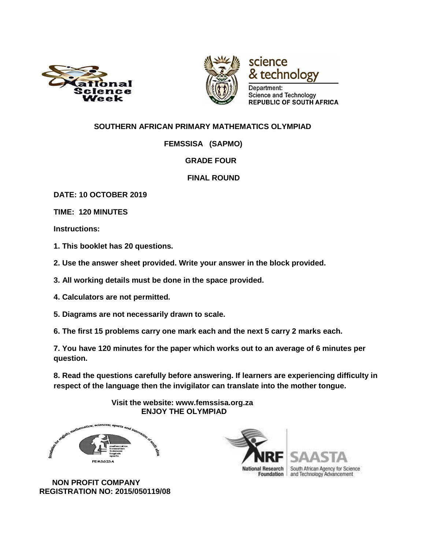



technology Department: Science and Technology **REPUBLIC OF SOUTH AFRICA** 

science

### **SOUTHERN AFRICAN PRIMARY MATHEMATICS OLYMPIAD**

 **FEMSSISA (SAPMO)** 

#### **GRADE FOUR**

#### **FINAL ROUND**

**DATE: 10 OCTOBER 2019**

**TIME: 120 MINUTES** 

**Instructions:** 

**1. This booklet has 20 questions.** 

**2. Use the answer sheet provided. Write your answer in the block provided.** 

**3. All working details must be done in the space provided.** 

**4. Calculators are not permitted.** 

**5. Diagrams are not necessarily drawn to scale.** 

**6. The first 15 problems carry one mark each and the next 5 carry 2 marks each.** 

**7. You have 120 minutes for the paper which works out to an average of 6 minutes per question.** 

**8. Read the questions carefully before answering. If learners are experiencing difficulty in respect of the language then the invigilator can translate into the mother tongue.** 

> **Visit the website: www.femssisa.org.za ENJOY THE OLYMPIAD**



 **NON PROFIT COMPANY REGISTRATION NO: 2015/050119/08** 

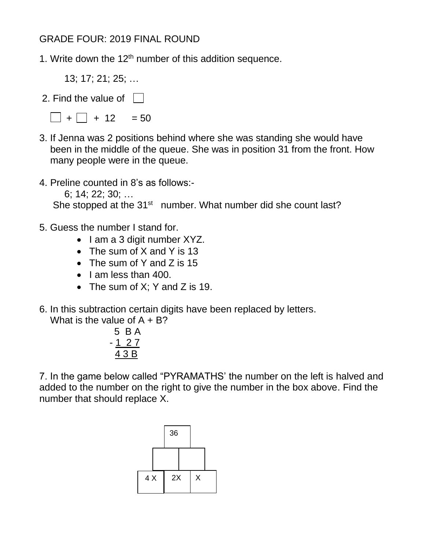# GRADE FOUR: 2019 FINAL ROUND

- 1. Write down the  $12<sup>th</sup>$  number of this addition sequence.
	- 13; 17; 21; 25; …
- 2. Find the value of  $\|$

 $\Box$  +  $\Box$  + 12 = 50

- 3. If Jenna was 2 positions behind where she was standing she would have been in the middle of the queue. She was in position 31 from the front. How many people were in the queue.
- 4. Preline counted in 8's as follows:-
	- 6; 14; 22; 30; …

She stopped at the 31<sup>st</sup> number. What number did she count last?

- 5. Guess the number I stand for.
	- I am a 3 digit number XYZ.
	- The sum of X and Y is 13
	- The sum of Y and Z is 15
	- $\bullet$  | am less than 400.
	- The sum of  $X$ ; Y and Z is 19.
- 6. In this subtraction certain digits have been replaced by letters.

What is the value of  $A + B$ ?

$$
\begin{array}{r} 5 \text{ B A} \\ -1 \text{ 27} \\ \hline 4 \text{ 3 B} \end{array}
$$

7. In the game below called "PYRAMATHS' the number on the left is halved and added to the number on the right to give the number in the box above. Find the number that should replace X.

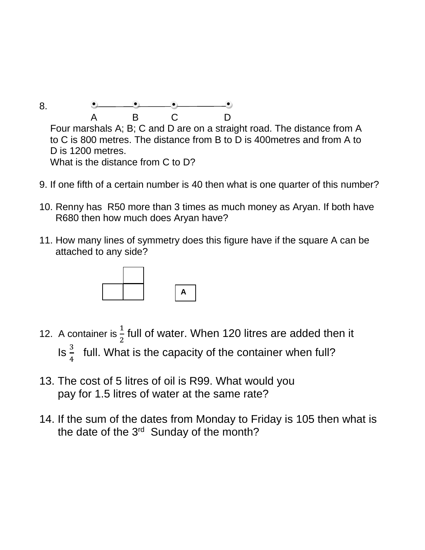8. A B C D Four marshals A; B; C and D are on a straight road. The distance from A to C is 800 metres. The distance from B to D is 400metres and from A to D is 1200 metres. What is the distance from C to D?

- 9. If one fifth of a certain number is 40 then what is one quarter of this number?
- 10. Renny has R50 more than 3 times as much money as Aryan. If both have R680 then how much does Aryan have?
- 11. How many lines of symmetry does this figure have if the square A can be attached to any side?



- 12. A container is  $\frac{1}{2}$  full of water. When 120 litres are added then it  $\ln \frac{3}{4}$  $\frac{3}{4}$  full. What is the capacity of the container when full?
- 13. The cost of 5 litres of oil is R99. What would you pay for 1.5 litres of water at the same rate?
- 14. If the sum of the dates from Monday to Friday is 105 then what is the date of the 3<sup>rd</sup> Sunday of the month?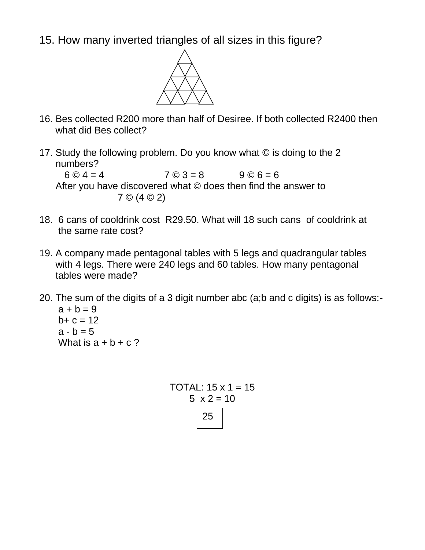15. How many inverted triangles of all sizes in this figure?



- 16. Bes collected R200 more than half of Desiree. If both collected R2400 then what did Bes collect?
- 17. Study the following problem. Do you know what © is doing to the 2 numbers?  $6 \odot 4 = 4$   $7 \odot 3 = 8$   $9 \odot 6 = 6$  After you have discovered what © does then find the answer to 7 © (4 © 2)
- 18. 6 cans of cooldrink cost R29.50. What will 18 such cans of cooldrink at the same rate cost?
- 19. A company made pentagonal tables with 5 legs and quadrangular tables with 4 legs. There were 240 legs and 60 tables. How many pentagonal tables were made?
- 20. The sum of the digits of a 3 digit number abc (a;b and c digits) is as follows:  $a + b = 9$  $b + c = 12$  $a - b = 5$ What is  $a + b + c$ ?

TOTAL:  $15 \times 1 = 15$  $5 \times 2 = 10$ 25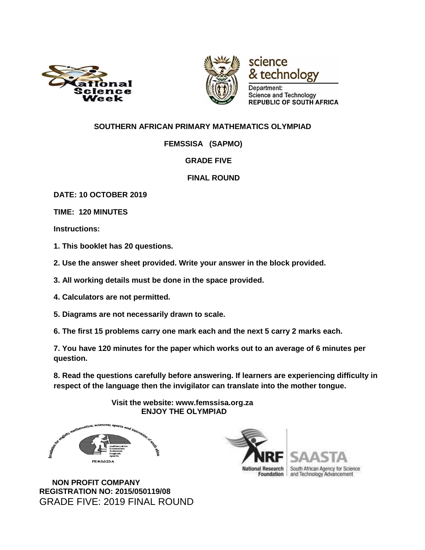



technology Department: Science and Technology **REPUBLIC OF SOUTH AFRICA** 

science

### **SOUTHERN AFRICAN PRIMARY MATHEMATICS OLYMPIAD**

 **FEMSSISA (SAPMO)** 

### **GRADE FIVE**

### **FINAL ROUND**

**DATE: 10 OCTOBER 2019**

**TIME: 120 MINUTES** 

**Instructions:** 

**1. This booklet has 20 questions.** 

**2. Use the answer sheet provided. Write your answer in the block provided.** 

**3. All working details must be done in the space provided.** 

**4. Calculators are not permitted.** 

**5. Diagrams are not necessarily drawn to scale.** 

**6. The first 15 problems carry one mark each and the next 5 carry 2 marks each.** 

**7. You have 120 minutes for the paper which works out to an average of 6 minutes per question.** 

**8. Read the questions carefully before answering. If learners are experiencing difficulty in respect of the language then the invigilator can translate into the mother tongue.** 

> **Visit the website: www.femssisa.org.za ENJOY THE OLYMPIAD**



South African Agency for Science and Technology Advancement

 **NON PROFIT COMPANY REGISTRATION NO: 2015/050119/08**  GRADE FIVE: 2019 FINAL ROUND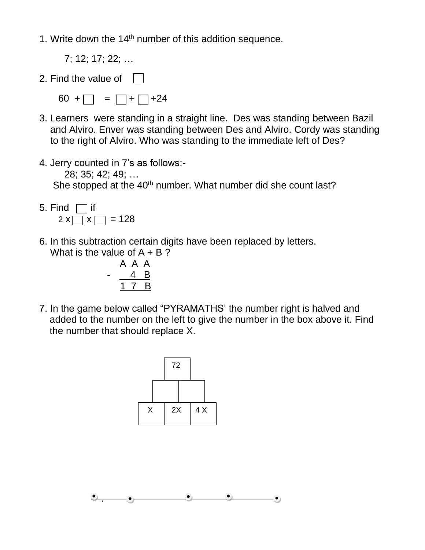1. Write down the  $14<sup>th</sup>$  number of this addition sequence.

- 7; 12; 17; 22; …
- 2. Find the value of
	- $60 + \square = \square + \square + 24$
- 3. Learners were standing in a straight line. Des was standing between Bazil and Alviro. Enver was standing between Des and Alviro. Cordy was standing to the right of Alviro. Who was standing to the immediate left of Des?
- 4. Jerry counted in 7's as follows:-

 28; 35; 42; 49; … She stopped at the 40<sup>th</sup> number. What number did she count last?

- 5. Find  $\Box$  if  $2 \times \Box \times \Box = 128$
- 6. In this subtraction certain digits have been replaced by letters. What is the value of  $A + B$ ?

$$
\begin{array}{cccc}\n & A & A & A \\
- & 4 & B & \\
\hline\n & 1 & 7 & B & \\
\end{array}
$$

7. In the game below called "PYRAMATHS' the number right is halved and added to the number on the left to give the number in the box above it. Find the number that should replace X.



.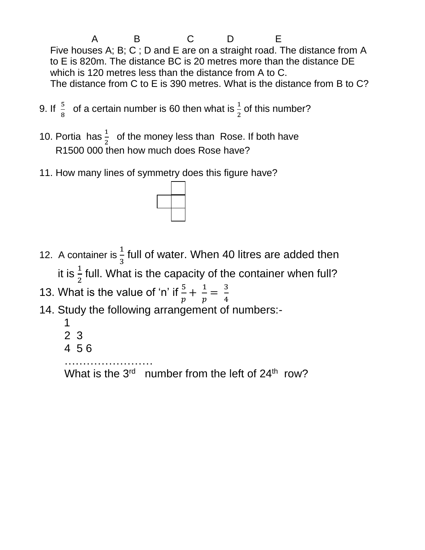A B C D E Five houses A; B; C ; D and E are on a straight road. The distance from A to E is 820m. The distance BC is 20 metres more than the distance DE which is 120 metres less than the distance from A to C. The distance from C to E is 390 metres. What is the distance from B to C?

- 9. If  $\frac{5}{8}$  of a certain number is 60 then what is  $\frac{1}{2}$  of this number?
- 10. Portia has  $\frac{1}{2}$  of the money less than Rose. If both have R1500 000 then how much does Rose have?
- 11. How many lines of symmetry does this figure have?



- 12. A container is  $\frac{1}{3}$  full of water. When 40 litres are added then it is  $\frac{1}{2}$  full. What is the capacity of the container when full? 13. What is the value of 'n' if  $\frac{5}{p} + \frac{1}{p}$  $\frac{1}{p} = \frac{3}{4}$
- 4 14. Study the following arrangement of numbers:-
	- 1 2 3
	- 4 5 6
	- ……………………

What is the 3<sup>rd</sup> number from the left of 24<sup>th</sup> row?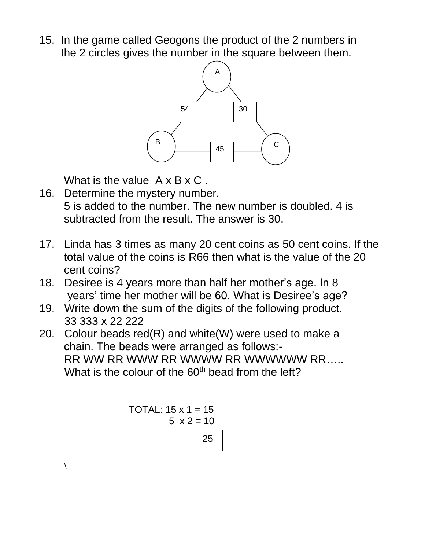15. In the game called Geogons the product of the 2 numbers in the 2 circles gives the number in the square between them.



What is the value  $A \times B \times C$ .

- 16. Determine the mystery number. 5 is added to the number. The new number is doubled. 4 is subtracted from the result. The answer is 30.
- 17. Linda has 3 times as many 20 cent coins as 50 cent coins. If the total value of the coins is R66 then what is the value of the 20 cent coins?
- 18. Desiree is 4 years more than half her mother's age. In 8 years' time her mother will be 60. What is Desiree's age?
- 19. Write down the sum of the digits of the following product. 33 333 x 22 222
- 20. Colour beads red(R) and white(W) were used to make a chain. The beads were arranged as follows:- RR WW RR WWW RR WWWW RR WWWWW RR..... What is the colour of the 60<sup>th</sup> bead from the left?

TOTAL: 
$$
15 \times 1 = 15
$$

\n5  $\times 2 = 10$ 

\n25

 $\lambda$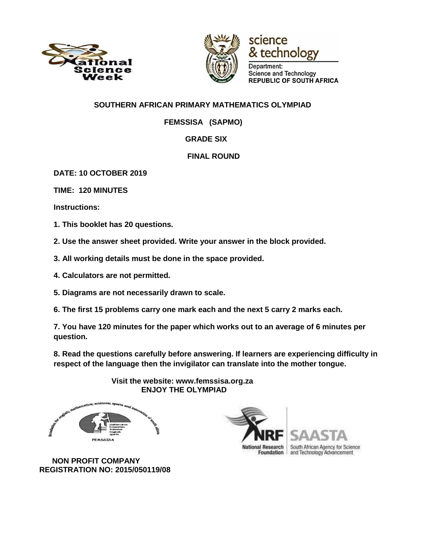





Science and Technology **REPUBLIC OF SOUTH AFRICA** 

### **SOUTHERN AFRICAN PRIMARY MATHEMATICS OLYMPIAD**

 **FEMSSISA (SAPMO)** 

## **GRADE SIX**

## **FINAL ROUND**

**DATE: 10 OCTOBER 2019**

**TIME: 120 MINUTES** 

**Instructions:** 

**1. This booklet has 20 questions.** 

**2. Use the answer sheet provided. Write your answer in the block provided.** 

- **3. All working details must be done in the space provided.**
- **4. Calculators are not permitted.**
- **5. Diagrams are not necessarily drawn to scale.**
- **6. The first 15 problems carry one mark each and the next 5 carry 2 marks each.**

**7. You have 120 minutes for the paper which works out to an average of 6 minutes per question.** 

**8. Read the questions carefully before answering. If learners are experiencing difficulty in respect of the language then the invigilator can translate into the mother tongue.** 



 **Visit the website: www.femssisa.org.za ENJOY THE OLYMPIAD**



 **NON PROFIT COMPANY REGISTRATION NO: 2015/050119/08**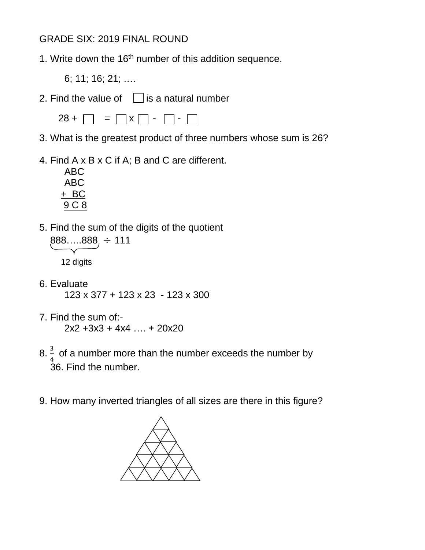# GRADE SIX: 2019 FINAL ROUND

- 1. Write down the  $16<sup>th</sup>$  number of this addition sequence.
	- 6; 11; 16; 21; .…
- 2. Find the value of  $\Box$  is a natural number



- 3. What is the greatest product of three numbers whose sum is 26?
- 4. Find A x B x C if A; B and C are different.



- 5. Find the sum of the digits of the quotient  $888....888, \div 111$ 12 digits
- 6. Evaluate 123 x 377 + 123 x 23 - 123 x 300
- 7. Find the sum of:- 2x2 +3x3 + 4x4 …. + 20x20
- 8.  $\frac{3}{4}$  of a number more than the number exceeds the number by 36. Find the number.
- 9. How many inverted triangles of all sizes are there in this figure?

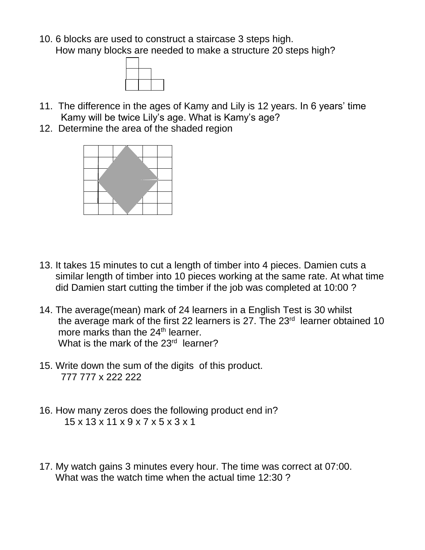10. 6 blocks are used to construct a staircase 3 steps high. How many blocks are needed to make a structure 20 steps high?



- 11. The difference in the ages of Kamy and Lily is 12 years. In 6 years' time Kamy will be twice Lily's age. What is Kamy's age?
- 12. Determine the area of the shaded region



- 13. It takes 15 minutes to cut a length of timber into 4 pieces. Damien cuts a similar length of timber into 10 pieces working at the same rate. At what time did Damien start cutting the timber if the job was completed at 10:00 ?
- 14. The average(mean) mark of 24 learners in a English Test is 30 whilst the average mark of the first 22 learners is 27. The  $23<sup>rd</sup>$  learner obtained 10 more marks than the 24<sup>th</sup> learner. What is the mark of the 23<sup>rd</sup> learner?
- 15. Write down the sum of the digits of this product. 777 777 x 222 222
- 16. How many zeros does the following product end in? 15 x 13 x 11 x 9 x 7 x 5 x 3 x 1
- 17. My watch gains 3 minutes every hour. The time was correct at 07:00. What was the watch time when the actual time 12:30 ?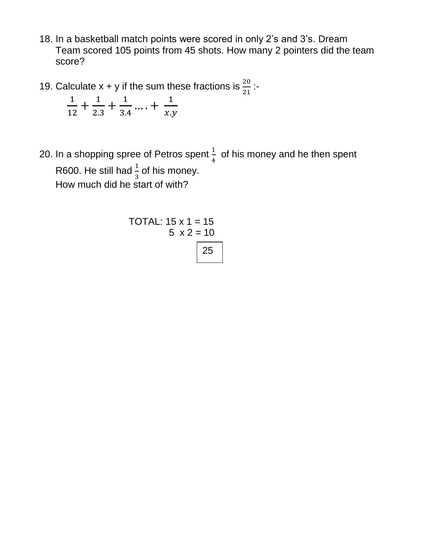- 18. In a basketball match points were scored in only 2's and 3's. Dream Team scored 105 points from 45 shots. How many 2 pointers did the team score?
- 19. Calculate  $x + y$  if the sum these fractions is  $\frac{20}{21}$ :

$$
\frac{1}{12} + \frac{1}{2.3} + \frac{1}{3.4} + \dots + \frac{1}{x.y}
$$

20. In a shopping spree of Petros spent  $\frac{1}{4}$  of his money and he then spent R600. He still had  $\frac{1}{3}$  of his money. How much did he start of with?

TOTAL: 
$$
15 \times 1 = 15
$$

\n5  $\times 2 = 10$ 

\n25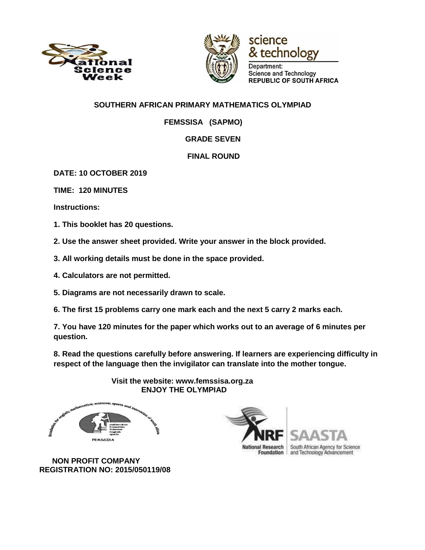





Department: Science and Technology **REPUBLIC OF SOUTH AFRICA** 

### **SOUTHERN AFRICAN PRIMARY MATHEMATICS OLYMPIAD**

 **FEMSSISA (SAPMO)** 

### **GRADE SEVEN**

### **FINAL ROUND**

**DATE: 10 OCTOBER 2019**

**TIME: 120 MINUTES** 

**Instructions:** 

**1. This booklet has 20 questions.** 

**2. Use the answer sheet provided. Write your answer in the block provided.** 

- **3. All working details must be done in the space provided.**
- **4. Calculators are not permitted.**
- **5. Diagrams are not necessarily drawn to scale.**
- **6. The first 15 problems carry one mark each and the next 5 carry 2 marks each.**

**7. You have 120 minutes for the paper which works out to an average of 6 minutes per question.** 

**8. Read the questions carefully before answering. If learners are experiencing difficulty in respect of the language then the invigilator can translate into the mother tongue.** 



 **Visit the website: www.femssisa.org.za ENJOY THE OLYMPIAD**



 **NON PROFIT COMPANY REGISTRATION NO: 2015/050119/08**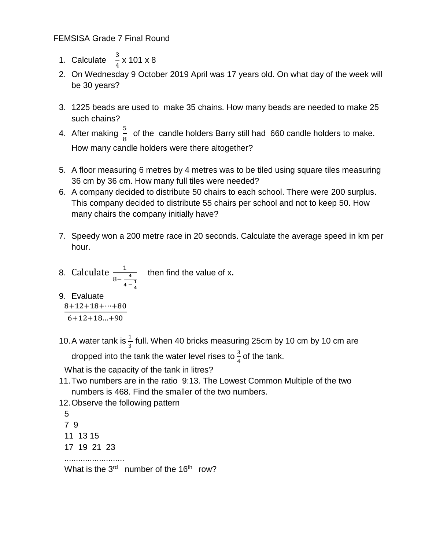### FEMSISA Grade 7 Final Round

- 1. Calculate  $\frac{3}{4} \times 101 \times 8$
- 2. On Wednesday 9 October 2019 April was 17 years old. On what day of the week will be 30 years?
- 3. 1225 beads are used to make 35 chains. How many beads are needed to make 25 such chains?
- 4. After making  $\frac{5}{8}$  of the candle holders Barry still had 660 candle holders to make. How many candle holders were there altogether?
- 5. A floor measuring 6 metres by 4 metres was to be tiled using square tiles measuring 36 cm by 36 cm. How many full tiles were needed?
- 6. A company decided to distribute 50 chairs to each school. There were 200 surplus. This company decided to distribute 55 chairs per school and not to keep 50. How many chairs the company initially have?
- 7. Speedy won a 200 metre race in 20 seconds. Calculate the average speed in km per hour.
- 8. Calculate  $\frac{1}{8-\frac{4}{3}}$  $4 - \frac{1}{4}$ 4 then find the value of x**.**

9. Evaluate

$$
\frac{8+12+18+\cdots+80}{6+12+18\ldots+90}
$$

10. A water tank is  $\frac{1}{3}$  full. When 40 bricks measuring 25cm by 10 cm by 10 cm are

dropped into the tank the water level rises to  $\frac{3}{4}$  of the tank.

What is the capacity of the tank in litres?

- 11.Two numbers are in the ratio 9:13. The Lowest Common Multiple of the two numbers is 468. Find the smaller of the two numbers.
- 12.Observe the following pattern

5 7 9 11 13 15 17 19 21 23

..........................

What is the  $3<sup>rd</sup>$  number of the 16<sup>th</sup> row?